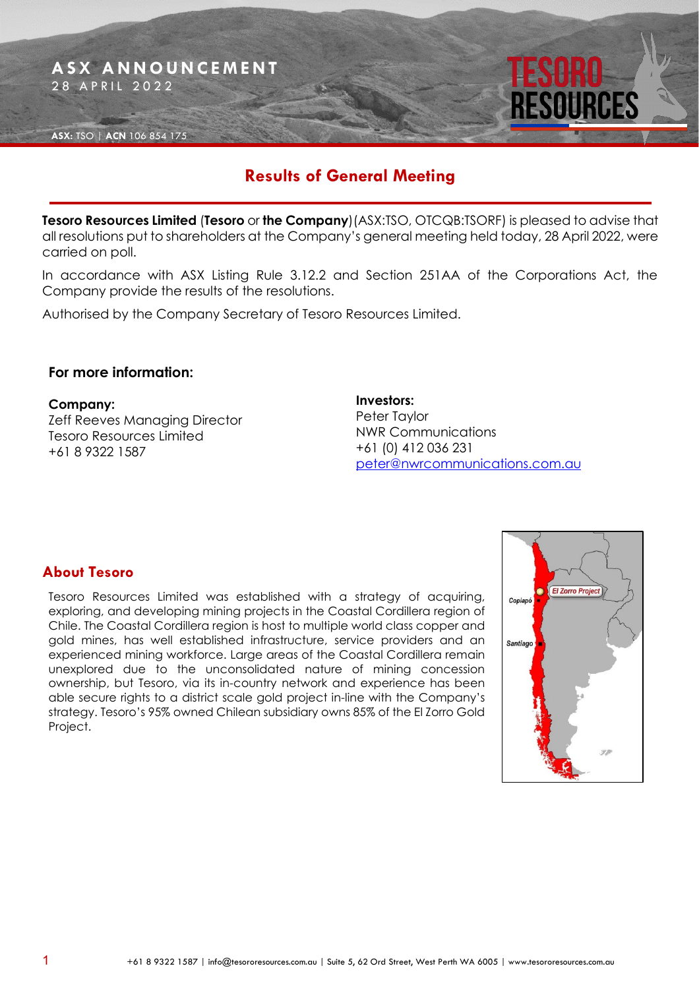

# **Results of General Meeting**

**Tesoro Resources Limited** (**Tesoro** or **the Company**)(ASX:TSO, OTCQB:TSORF) is pleased to advise that all resolutions put to shareholders at the Company's general meeting held today, 28 April 2022, were carried on poll.

In accordance with ASX Listing Rule 3.12.2 and Section 251AA of the Corporations Act, the Company provide the results of the resolutions.

Authorised by the Company Secretary of Tesoro Resources Limited.

### **For more information:**

#### **Company:**

Zeff Reeves Managing Director Tesoro Resources Limited +61 8 9322 1587

**Investors:** Peter Taylor NWR Communications +61 (0) 412 036 231 [peter@nwrcommunications.com.au](mailto:peter@nwrcommunications.com.au)

## **About Tesoro**

Tesoro Resources Limited was established with a strategy of acquiring, exploring, and developing mining projects in the Coastal Cordillera region of Chile. The Coastal Cordillera region is host to multiple world class copper and gold mines, has well established infrastructure, service providers and an experienced mining workforce. Large areas of the Coastal Cordillera remain unexplored due to the unconsolidated nature of mining concession ownership, but Tesoro, via its in-country network and experience has been able secure rights to a district scale gold project in-line with the Company's strategy. Tesoro's 95% owned Chilean subsidiary owns 85% of the El Zorro Gold Project.